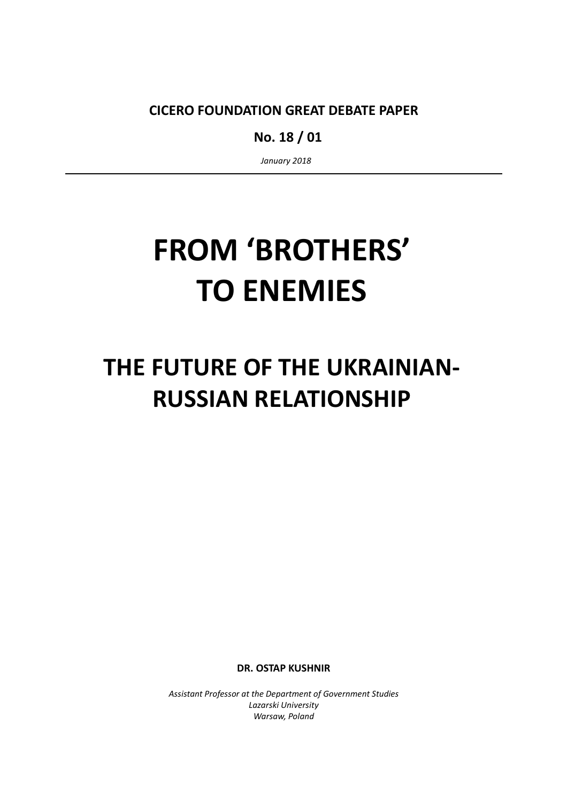CICERO FOUNDATION GREAT DEBATE PAPER

No. 18 / 01

January 2018

# FROM 'BROTHERS' TO ENEMIES

# THE FUTURE OF THE UKRAINIAN-RUSSIAN RELATIONSHIP

DR. OSTAP KUSHNIR

Assistant Professor at the Department of Government Studies Lazarski University Warsaw, Poland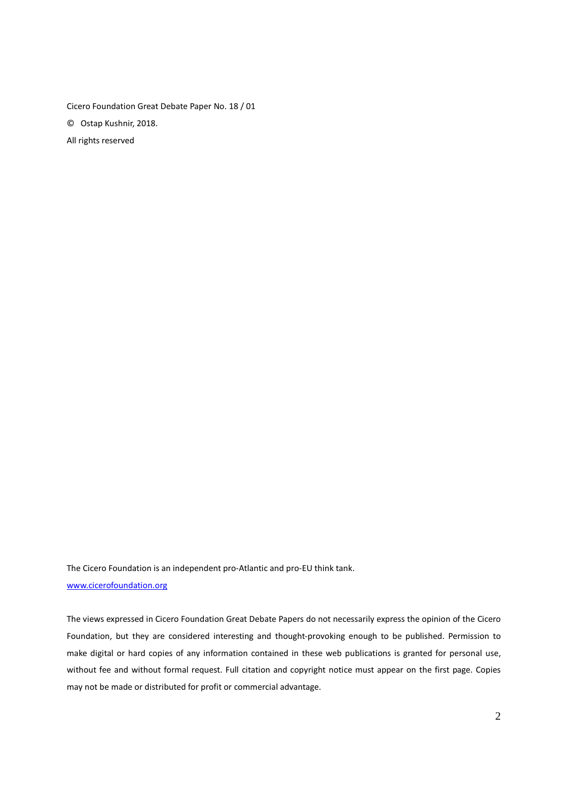Cicero Foundation Great Debate Paper No. 18 / 01 © Ostap Kushnir, 2018. All rights reserved

The Cicero Foundation is an independent pro-Atlantic and pro-EU think tank. www.cicerofoundation.org

The views expressed in Cicero Foundation Great Debate Papers do not necessarily express the opinion of the Cicero Foundation, but they are considered interesting and thought-provoking enough to be published. Permission to make digital or hard copies of any information contained in these web publications is granted for personal use, without fee and without formal request. Full citation and copyright notice must appear on the first page. Copies may not be made or distributed for profit or commercial advantage.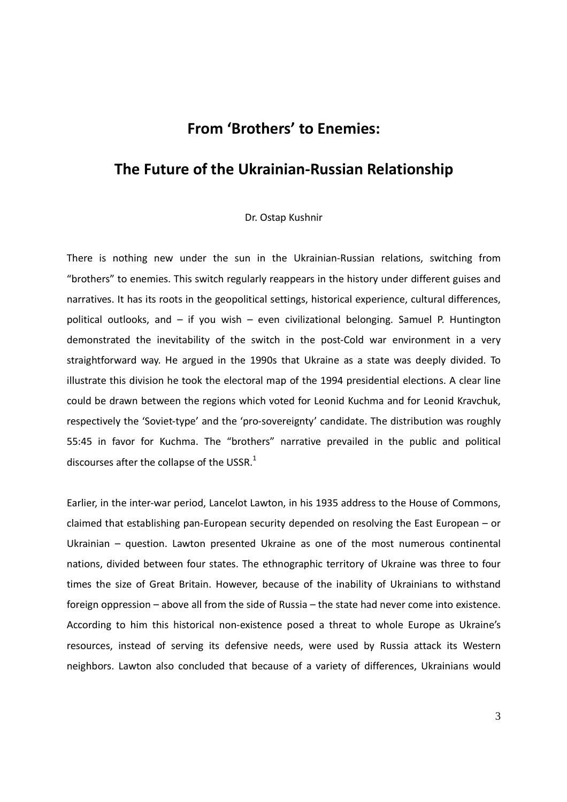## From 'Brothers' to Enemies:

### The Future of the Ukrainian-Russian Relationship

#### Dr. Ostap Kushnir

There is nothing new under the sun in the Ukrainian-Russian relations, switching from "brothers" to enemies. This switch regularly reappears in the history under different guises and narratives. It has its roots in the geopolitical settings, historical experience, cultural differences, political outlooks, and – if you wish – even civilizational belonging. Samuel P. Huntington demonstrated the inevitability of the switch in the post-Cold war environment in a very straightforward way. He argued in the 1990s that Ukraine as a state was deeply divided. To illustrate this division he took the electoral map of the 1994 presidential elections. A clear line could be drawn between the regions which voted for Leonid Kuchma and for Leonid Kravchuk, respectively the 'Soviet-type' and the 'pro-sovereignty' candidate. The distribution was roughly 55:45 in favor for Kuchma. The "brothers" narrative prevailed in the public and political discourses after the collapse of the USSR. $<sup>1</sup>$ </sup>

Earlier, in the inter-war period, Lancelot Lawton, in his 1935 address to the House of Commons, claimed that establishing pan-European security depended on resolving the East European – or Ukrainian – question. Lawton presented Ukraine as one of the most numerous continental nations, divided between four states. The ethnographic territory of Ukraine was three to four times the size of Great Britain. However, because of the inability of Ukrainians to withstand foreign oppression – above all from the side of Russia – the state had never come into existence. According to him this historical non-existence posed a threat to whole Europe as Ukraine's resources, instead of serving its defensive needs, were used by Russia attack its Western neighbors. Lawton also concluded that because of a variety of differences, Ukrainians would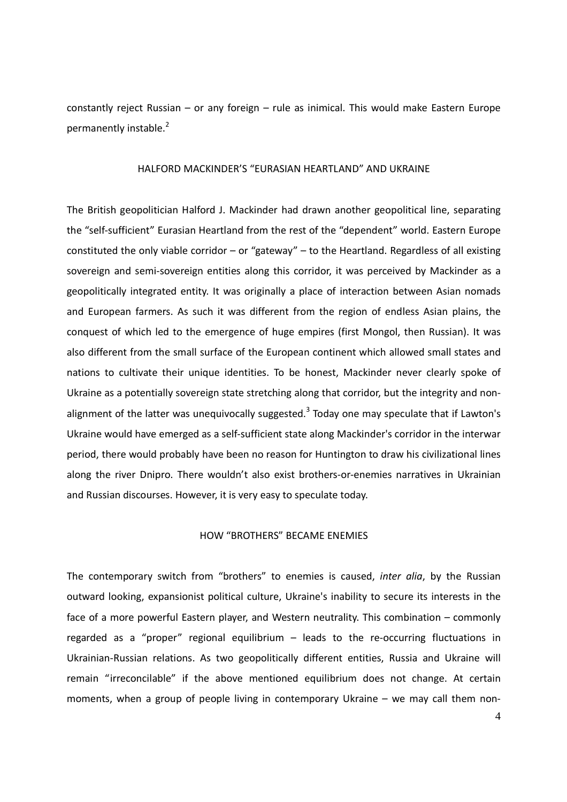constantly reject Russian – or any foreign – rule as inimical. This would make Eastern Europe permanently instable.<sup>2</sup>

#### HALFORD MACKINDER'S "EURASIAN HEARTLAND" AND UKRAINE

The British geopolitician Halford J. Mackinder had drawn another geopolitical line, separating the "self-sufficient" Eurasian Heartland from the rest of the "dependent" world. Eastern Europe constituted the only viable corridor – or "gateway" – to the Heartland. Regardless of all existing sovereign and semi-sovereign entities along this corridor, it was perceived by Mackinder as a geopolitically integrated entity. It was originally a place of interaction between Asian nomads and European farmers. As such it was different from the region of endless Asian plains, the conquest of which led to the emergence of huge empires (first Mongol, then Russian). It was also different from the small surface of the European continent which allowed small states and nations to cultivate their unique identities. To be honest, Mackinder never clearly spoke of Ukraine as a potentially sovereign state stretching along that corridor, but the integrity and nonalignment of the latter was unequivocally suggested.<sup>3</sup> Today one may speculate that if Lawton's Ukraine would have emerged as a self-sufficient state along Mackinder's corridor in the interwar period, there would probably have been no reason for Huntington to draw his civilizational lines along the river Dnipro. There wouldn't also exist brothers-or-enemies narratives in Ukrainian and Russian discourses. However, it is very easy to speculate today.

#### HOW "BROTHERS" BECAME ENEMIES

The contemporary switch from "brothers" to enemies is caused, inter alia, by the Russian outward looking, expansionist political culture, Ukraine's inability to secure its interests in the face of a more powerful Eastern player, and Western neutrality. This combination – commonly regarded as a "proper" regional equilibrium – leads to the re-occurring fluctuations in Ukrainian-Russian relations. As two geopolitically different entities, Russia and Ukraine will remain "irreconcilable" if the above mentioned equilibrium does not change. At certain moments, when a group of people living in contemporary Ukraine – we may call them non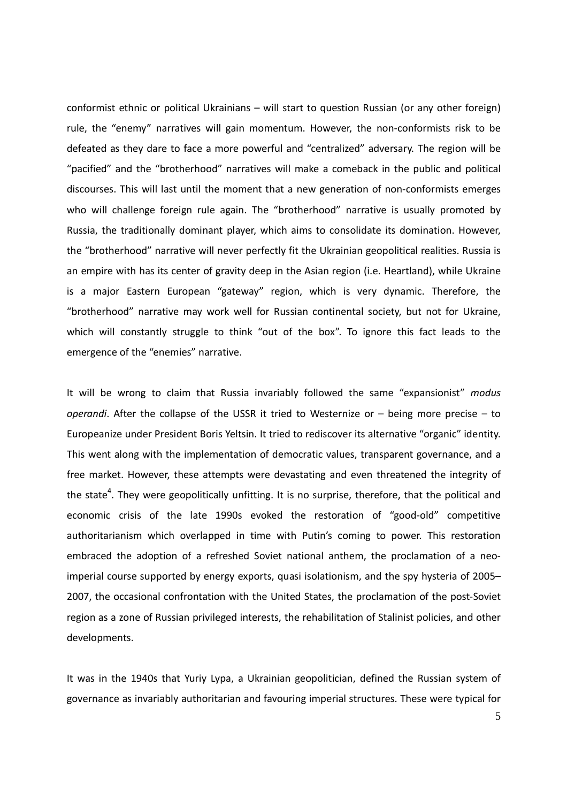conformist ethnic or political Ukrainians – will start to question Russian (or any other foreign) rule, the "enemy" narratives will gain momentum. However, the non-conformists risk to be defeated as they dare to face a more powerful and "centralized" adversary. The region will be "pacified" and the "brotherhood" narratives will make a comeback in the public and political discourses. This will last until the moment that a new generation of non-conformists emerges who will challenge foreign rule again. The "brotherhood" narrative is usually promoted by Russia, the traditionally dominant player, which aims to consolidate its domination. However, the "brotherhood" narrative will never perfectly fit the Ukrainian geopolitical realities. Russia is an empire with has its center of gravity deep in the Asian region (i.e. Heartland), while Ukraine is a major Eastern European "gateway" region, which is very dynamic. Therefore, the "brotherhood" narrative may work well for Russian continental society, but not for Ukraine, which will constantly struggle to think "out of the box". To ignore this fact leads to the emergence of the "enemies" narrative.

It will be wrong to claim that Russia invariably followed the same "expansionist" modus operandi. After the collapse of the USSR it tried to Westernize or  $-$  being more precise  $-$  to Europeanize under President Boris Yeltsin. It tried to rediscover its alternative "organic" identity. This went along with the implementation of democratic values, transparent governance, and a free market. However, these attempts were devastating and even threatened the integrity of the state<sup>4</sup>. They were geopolitically unfitting. It is no surprise, therefore, that the political and economic crisis of the late 1990s evoked the restoration of "good-old" competitive authoritarianism which overlapped in time with Putin's coming to power. This restoration embraced the adoption of a refreshed Soviet national anthem, the proclamation of a neoimperial course supported by energy exports, quasi isolationism, and the spy hysteria of 2005– 2007, the occasional confrontation with the United States, the proclamation of the post-Soviet region as a zone of Russian privileged interests, the rehabilitation of Stalinist policies, and other developments.

It was in the 1940s that Yuriy Lypa, a Ukrainian geopolitician, defined the Russian system of governance as invariably authoritarian and favouring imperial structures. These were typical for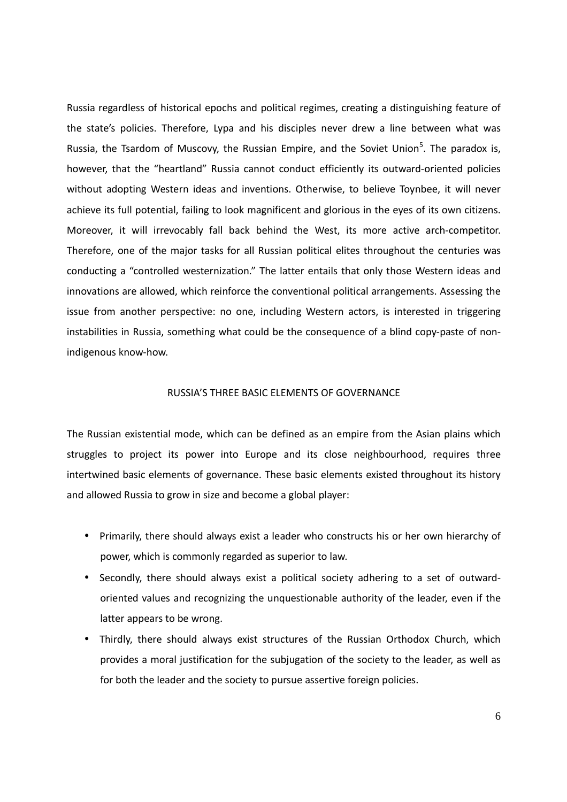Russia regardless of historical epochs and political regimes, creating a distinguishing feature of the state's policies. Therefore, Lypa and his disciples never drew a line between what was Russia, the Tsardom of Muscovy, the Russian Empire, and the Soviet Union<sup>5</sup>. The paradox is, however, that the "heartland" Russia cannot conduct efficiently its outward-oriented policies without adopting Western ideas and inventions. Otherwise, to believe Toynbee, it will never achieve its full potential, failing to look magnificent and glorious in the eyes of its own citizens. Moreover, it will irrevocably fall back behind the West, its more active arch-competitor. Therefore, one of the major tasks for all Russian political elites throughout the centuries was conducting a "controlled westernization." The latter entails that only those Western ideas and innovations are allowed, which reinforce the conventional political arrangements. Assessing the issue from another perspective: no one, including Western actors, is interested in triggering instabilities in Russia, something what could be the consequence of a blind copy-paste of nonindigenous know-how.

#### RUSSIA'S THREE BASIC ELEMENTS OF GOVERNANCE

The Russian existential mode, which can be defined as an empire from the Asian plains which struggles to project its power into Europe and its close neighbourhood, requires three intertwined basic elements of governance. These basic elements existed throughout its history and allowed Russia to grow in size and become a global player:

- Primarily, there should always exist a leader who constructs his or her own hierarchy of power, which is commonly regarded as superior to law.
- Secondly, there should always exist a political society adhering to a set of outwardoriented values and recognizing the unquestionable authority of the leader, even if the latter appears to be wrong.
- Thirdly, there should always exist structures of the Russian Orthodox Church, which provides a moral justification for the subjugation of the society to the leader, as well as for both the leader and the society to pursue assertive foreign policies.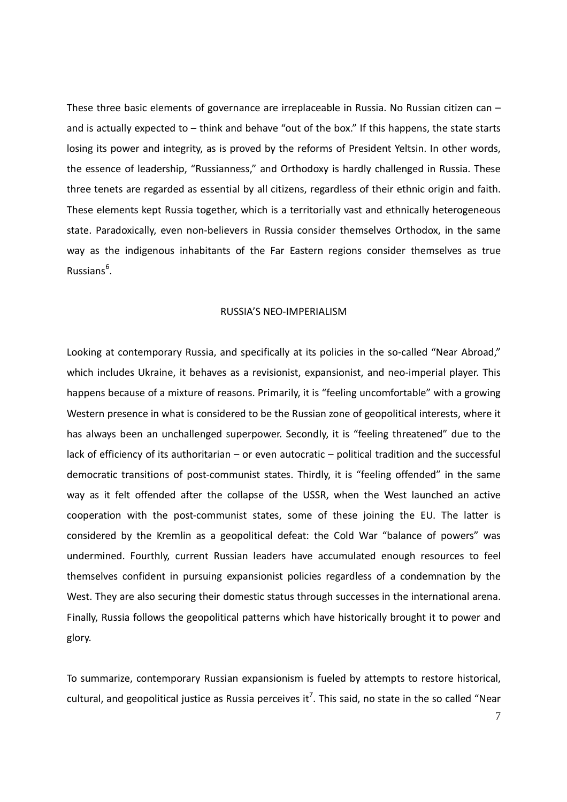These three basic elements of governance are irreplaceable in Russia. No Russian citizen can – and is actually expected to – think and behave "out of the box." If this happens, the state starts losing its power and integrity, as is proved by the reforms of President Yeltsin. In other words, the essence of leadership, "Russianness," and Orthodoxy is hardly challenged in Russia. These three tenets are regarded as essential by all citizens, regardless of their ethnic origin and faith. These elements kept Russia together, which is a territorially vast and ethnically heterogeneous state. Paradoxically, even non-believers in Russia consider themselves Orthodox, in the same way as the indigenous inhabitants of the Far Eastern regions consider themselves as true Russians<sup>6</sup>.

#### RUSSIA'S NEO-IMPERIALISM

Looking at contemporary Russia, and specifically at its policies in the so-called "Near Abroad," which includes Ukraine, it behaves as a revisionist, expansionist, and neo-imperial player. This happens because of a mixture of reasons. Primarily, it is "feeling uncomfortable" with a growing Western presence in what is considered to be the Russian zone of geopolitical interests, where it has always been an unchallenged superpower. Secondly, it is "feeling threatened" due to the lack of efficiency of its authoritarian – or even autocratic – political tradition and the successful democratic transitions of post-communist states. Thirdly, it is "feeling offended" in the same way as it felt offended after the collapse of the USSR, when the West launched an active cooperation with the post-communist states, some of these joining the EU. The latter is considered by the Kremlin as a geopolitical defeat: the Cold War "balance of powers" was undermined. Fourthly, current Russian leaders have accumulated enough resources to feel themselves confident in pursuing expansionist policies regardless of a condemnation by the West. They are also securing their domestic status through successes in the international arena. Finally, Russia follows the geopolitical patterns which have historically brought it to power and glory.

To summarize, contemporary Russian expansionism is fueled by attempts to restore historical, cultural, and geopolitical justice as Russia perceives it<sup>7</sup>. This said, no state in the so called "Near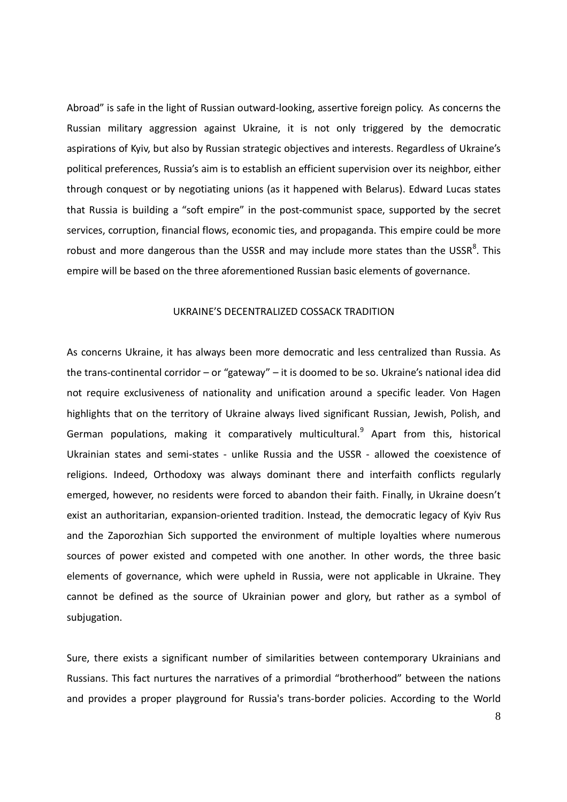Abroad" is safe in the light of Russian outward-looking, assertive foreign policy. As concerns the Russian military aggression against Ukraine, it is not only triggered by the democratic aspirations of Kyiv, but also by Russian strategic objectives and interests. Regardless of Ukraine's political preferences, Russia's aim is to establish an efficient supervision over its neighbor, either through conquest or by negotiating unions (as it happened with Belarus). Edward Lucas states that Russia is building a "soft empire" in the post-communist space, supported by the secret services, corruption, financial flows, economic ties, and propaganda. This empire could be more robust and more dangerous than the USSR and may include more states than the USSR $^8$ . This empire will be based on the three aforementioned Russian basic elements of governance.

#### UKRAINE'S DECENTRALIZED COSSACK TRADITION

As concerns Ukraine, it has always been more democratic and less centralized than Russia. As the trans-continental corridor – or "gateway" – it is doomed to be so. Ukraine's national idea did not require exclusiveness of nationality and unification around a specific leader. Von Hagen highlights that on the territory of Ukraine always lived significant Russian, Jewish, Polish, and German populations, making it comparatively multicultural.<sup>9</sup> Apart from this, historical Ukrainian states and semi-states - unlike Russia and the USSR - allowed the coexistence of religions. Indeed, Orthodoxy was always dominant there and interfaith conflicts regularly emerged, however, no residents were forced to abandon their faith. Finally, in Ukraine doesn't exist an authoritarian, expansion-oriented tradition. Instead, the democratic legacy of Kyiv Rus and the Zaporozhian Sich supported the environment of multiple loyalties where numerous sources of power existed and competed with one another. In other words, the three basic elements of governance, which were upheld in Russia, were not applicable in Ukraine. They cannot be defined as the source of Ukrainian power and glory, but rather as a symbol of subjugation.

Sure, there exists a significant number of similarities between contemporary Ukrainians and Russians. This fact nurtures the narratives of a primordial "brotherhood" between the nations and provides a proper playground for Russia's trans-border policies. According to the World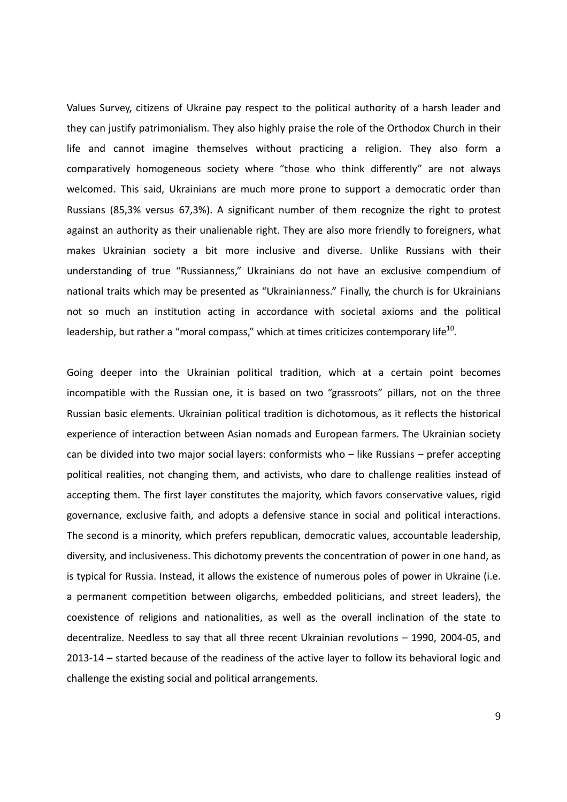Values Survey, citizens of Ukraine pay respect to the political authority of a harsh leader and they can justify patrimonialism. They also highly praise the role of the Orthodox Church in their life and cannot imagine themselves without practicing a religion. They also form a comparatively homogeneous society where "those who think differently" are not always welcomed. This said, Ukrainians are much more prone to support a democratic order than Russians (85,3% versus 67,3%). A significant number of them recognize the right to protest against an authority as their unalienable right. They are also more friendly to foreigners, what makes Ukrainian society a bit more inclusive and diverse. Unlike Russians with their understanding of true "Russianness," Ukrainians do not have an exclusive compendium of national traits which may be presented as "Ukrainianness." Finally, the church is for Ukrainians not so much an institution acting in accordance with societal axioms and the political leadership, but rather a "moral compass," which at times criticizes contemporary life $^{10}$ .

Going deeper into the Ukrainian political tradition, which at a certain point becomes incompatible with the Russian one, it is based on two "grassroots" pillars, not on the three Russian basic elements. Ukrainian political tradition is dichotomous, as it reflects the historical experience of interaction between Asian nomads and European farmers. The Ukrainian society can be divided into two major social layers: conformists who – like Russians – prefer accepting political realities, not changing them, and activists, who dare to challenge realities instead of accepting them. The first layer constitutes the majority, which favors conservative values, rigid governance, exclusive faith, and adopts a defensive stance in social and political interactions. The second is a minority, which prefers republican, democratic values, accountable leadership, diversity, and inclusiveness. This dichotomy prevents the concentration of power in one hand, as is typical for Russia. Instead, it allows the existence of numerous poles of power in Ukraine (i.e. a permanent competition between oligarchs, embedded politicians, and street leaders), the coexistence of religions and nationalities, as well as the overall inclination of the state to decentralize. Needless to say that all three recent Ukrainian revolutions – 1990, 2004-05, and 2013-14 – started because of the readiness of the active layer to follow its behavioral logic and challenge the existing social and political arrangements.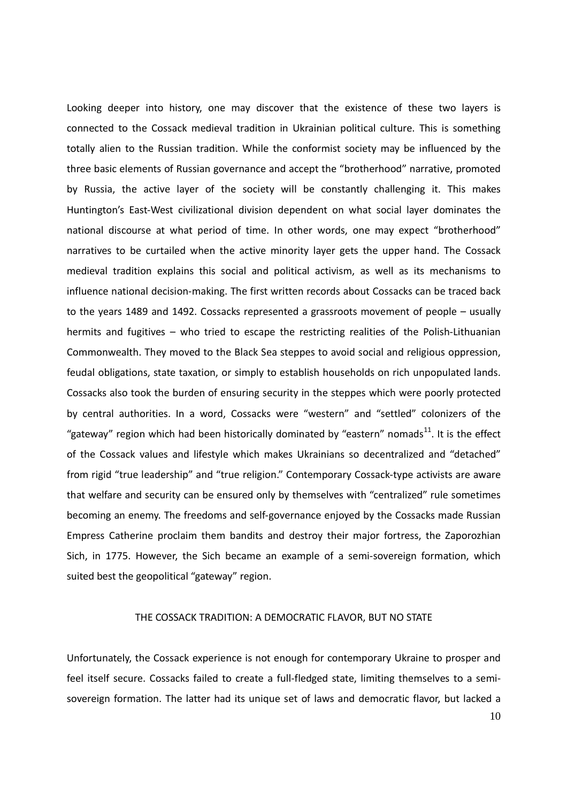Looking deeper into history, one may discover that the existence of these two layers is connected to the Cossack medieval tradition in Ukrainian political culture. This is something totally alien to the Russian tradition. While the conformist society may be influenced by the three basic elements of Russian governance and accept the "brotherhood" narrative, promoted by Russia, the active layer of the society will be constantly challenging it. This makes Huntington's East-West civilizational division dependent on what social layer dominates the national discourse at what period of time. In other words, one may expect "brotherhood" narratives to be curtailed when the active minority layer gets the upper hand. The Cossack medieval tradition explains this social and political activism, as well as its mechanisms to influence national decision-making. The first written records about Cossacks can be traced back to the years 1489 and 1492. Cossacks represented a grassroots movement of people – usually hermits and fugitives – who tried to escape the restricting realities of the Polish-Lithuanian Commonwealth. They moved to the Black Sea steppes to avoid social and religious oppression, feudal obligations, state taxation, or simply to establish households on rich unpopulated lands. Cossacks also took the burden of ensuring security in the steppes which were poorly protected by central authorities. In a word, Cossacks were "western" and "settled" colonizers of the "gateway" region which had been historically dominated by "eastern" nomads $^{11}$ . It is the effect of the Cossack values and lifestyle which makes Ukrainians so decentralized and "detached" from rigid "true leadership" and "true religion." Contemporary Cossack-type activists are aware that welfare and security can be ensured only by themselves with "centralized" rule sometimes becoming an enemy. The freedoms and self-governance enjoyed by the Cossacks made Russian Empress Catherine proclaim them bandits and destroy their major fortress, the Zaporozhian Sich, in 1775. However, the Sich became an example of a semi-sovereign formation, which suited best the geopolitical "gateway" region.

#### THE COSSACK TRADITION: A DEMOCRATIC FLAVOR, BUT NO STATE

Unfortunately, the Cossack experience is not enough for contemporary Ukraine to prosper and feel itself secure. Cossacks failed to create a full-fledged state, limiting themselves to a semisovereign formation. The latter had its unique set of laws and democratic flavor, but lacked a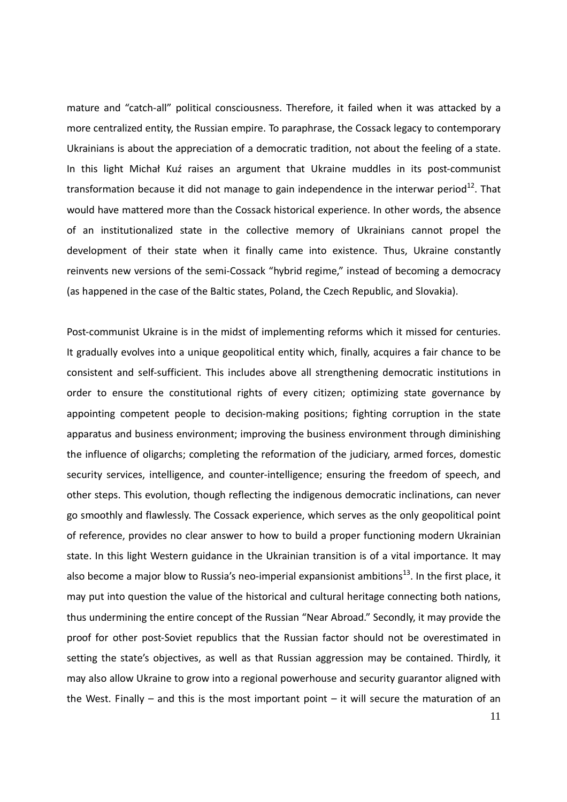mature and "catch-all" political consciousness. Therefore, it failed when it was attacked by a more centralized entity, the Russian empire. To paraphrase, the Cossack legacy to contemporary Ukrainians is about the appreciation of a democratic tradition, not about the feeling of a state. In this light Michał Kuź raises an argument that Ukraine muddles in its post-communist transformation because it did not manage to gain independence in the interwar period<sup>12</sup>. That would have mattered more than the Cossack historical experience. In other words, the absence of an institutionalized state in the collective memory of Ukrainians cannot propel the development of their state when it finally came into existence. Thus, Ukraine constantly reinvents new versions of the semi-Cossack "hybrid regime," instead of becoming a democracy (as happened in the case of the Baltic states, Poland, the Czech Republic, and Slovakia).

Post-communist Ukraine is in the midst of implementing reforms which it missed for centuries. It gradually evolves into a unique geopolitical entity which, finally, acquires a fair chance to be consistent and self-sufficient. This includes above all strengthening democratic institutions in order to ensure the constitutional rights of every citizen; optimizing state governance by appointing competent people to decision-making positions; fighting corruption in the state apparatus and business environment; improving the business environment through diminishing the influence of oligarchs; completing the reformation of the judiciary, armed forces, domestic security services, intelligence, and counter-intelligence; ensuring the freedom of speech, and other steps. This evolution, though reflecting the indigenous democratic inclinations, can never go smoothly and flawlessly. The Cossack experience, which serves as the only geopolitical point of reference, provides no clear answer to how to build a proper functioning modern Ukrainian state. In this light Western guidance in the Ukrainian transition is of a vital importance. It may also become a major blow to Russia's neo-imperial expansionist ambitions<sup>13</sup>. In the first place, it may put into question the value of the historical and cultural heritage connecting both nations, thus undermining the entire concept of the Russian "Near Abroad." Secondly, it may provide the proof for other post-Soviet republics that the Russian factor should not be overestimated in setting the state's objectives, as well as that Russian aggression may be contained. Thirdly, it may also allow Ukraine to grow into a regional powerhouse and security guarantor aligned with the West. Finally – and this is the most important point – it will secure the maturation of an

11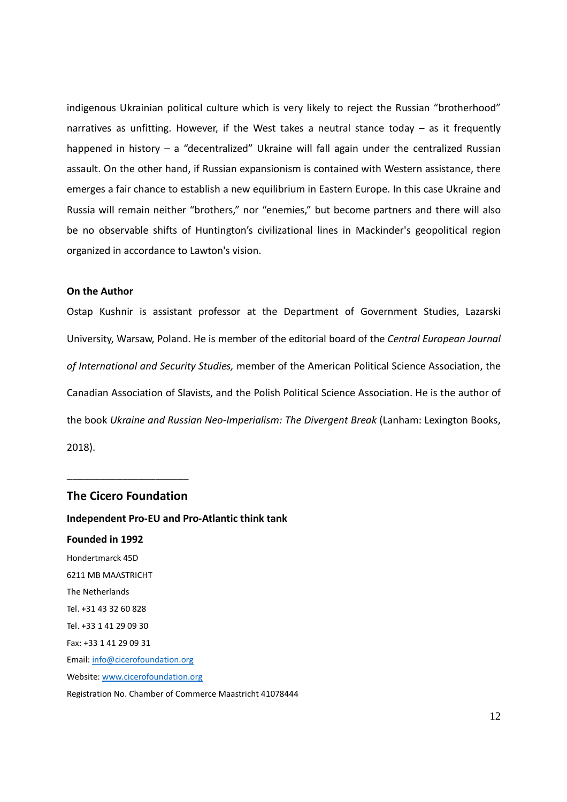indigenous Ukrainian political culture which is very likely to reject the Russian "brotherhood" narratives as unfitting. However, if the West takes a neutral stance today  $-$  as it frequently happened in history - a "decentralized" Ukraine will fall again under the centralized Russian assault. On the other hand, if Russian expansionism is contained with Western assistance, there emerges a fair chance to establish a new equilibrium in Eastern Europe. In this case Ukraine and Russia will remain neither "brothers," nor "enemies," but become partners and there will also be no observable shifts of Huntington's civilizational lines in Mackinder's geopolitical region organized in accordance to Lawton's vision.

#### On the Author

Ostap Kushnir is assistant professor at the Department of Government Studies, Lazarski University, Warsaw, Poland. He is member of the editorial board of the Central European Journal of International and Security Studies, member of the American Political Science Association, the Canadian Association of Slavists, and the Polish Political Science Association. He is the author of the book Ukraine and Russian Neo-Imperialism: The Divergent Break (Lanham: Lexington Books, 2018).

#### The Cicero Foundation

\_\_\_\_\_\_\_\_\_\_\_\_\_\_\_\_\_\_\_\_\_\_

Independent Pro-EU and Pro-Atlantic think tank Founded in 1992 Hondertmarck 45D 6211 MB MAASTRICHT The Netherlands Tel. +31 43 32 60 828 Tel. +33 1 41 29 09 30 Fax: +33 1 41 29 09 31 Email: info@cicerofoundation.org Website: www.cicerofoundation.org Registration No. Chamber of Commerce Maastricht 41078444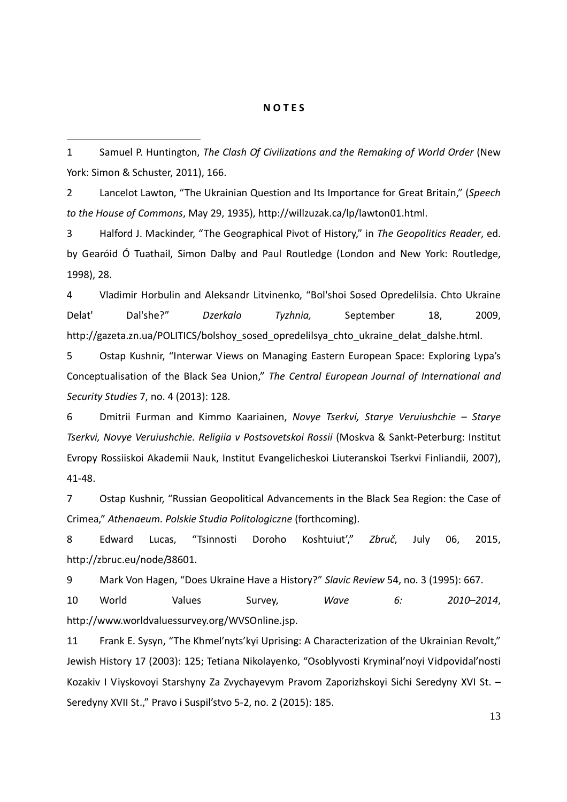#### N O T E S

1 Samuel P. Huntington, The Clash Of Civilizations and the Remaking of World Order (New York: Simon & Schuster, 2011), 166.

-

2 Lancelot Lawton, "The Ukrainian Question and Its Importance for Great Britain," (Speech to the House of Commons, May 29, 1935), http://willzuzak.ca/lp/lawton01.html.

3 Halford J. Mackinder, "The Geographical Pivot of History," in The Geopolitics Reader, ed. by Gearóid Ó Tuathail, Simon Dalby and Paul Routledge (London and New York: Routledge, 1998), 28.

4 Vladimir Horbulin and Aleksandr Litvinenko, "Bol'shoi Sosed Opredelilsia. Chto Ukraine Delat' Dal'she?" Dzerkalo Tyzhnia, September 18, 2009, http://gazeta.zn.ua/POLITICS/bolshoy\_sosed\_opredelilsya\_chto\_ukraine\_delat\_dalshe.html.

5 Ostap Kushnir, "Interwar Views on Managing Eastern European Space: Exploring Lypa's Conceptualisation of the Black Sea Union," The Central European Journal of International and Security Studies 7, no. 4 (2013): 128.

6 Dmitrii Furman and Kimmo Kaariainen, Novye Tserkvi, Starye Veruiushchie – Starye Tserkvi, Novye Veruiushchie. Religiia v Postsovetskoi Rossii (Moskva & Sankt-Peterburg: Institut Evropy Rossiiskoi Akademii Nauk, Institut Evangelicheskoi Liuteranskoi Tserkvi Finliandii, 2007), 41-48.

7 Ostap Kushnir, "Russian Geopolitical Advancements in the Black Sea Region: the Case of Crimea," Athenaeum. Polskie Studia Politologiczne (forthcoming).

8 Edward Lucas, "Tsinnosti Doroho Koshtuiut'," Zbruč, July 06, 2015, http://zbruc.eu/node/38601.

9 Mark Von Hagen, "Does Ukraine Have a History?" Slavic Review 54, no. 3 (1995): 667.

10 World Values Survey, Wave 6: 2010–2014, http://www.worldvaluessurvey.org/WVSOnline.jsp.

11 Frank E. Sysyn, "The Khmel'nyts'kyi Uprising: A Characterization of the Ukrainian Revolt," Jewish History 17 (2003): 125; Tetiana Nikolayenko, "Osoblyvosti Kryminal'noyi Vidpovidal'nosti Kozakiv I Viyskovoyi Starshyny Za Zvychayevym Pravom Zaporizhskoyi Sichi Seredyny XVI St. – Seredyny XVII St.," Pravo i Suspil'stvo 5-2, no. 2 (2015): 185.

13